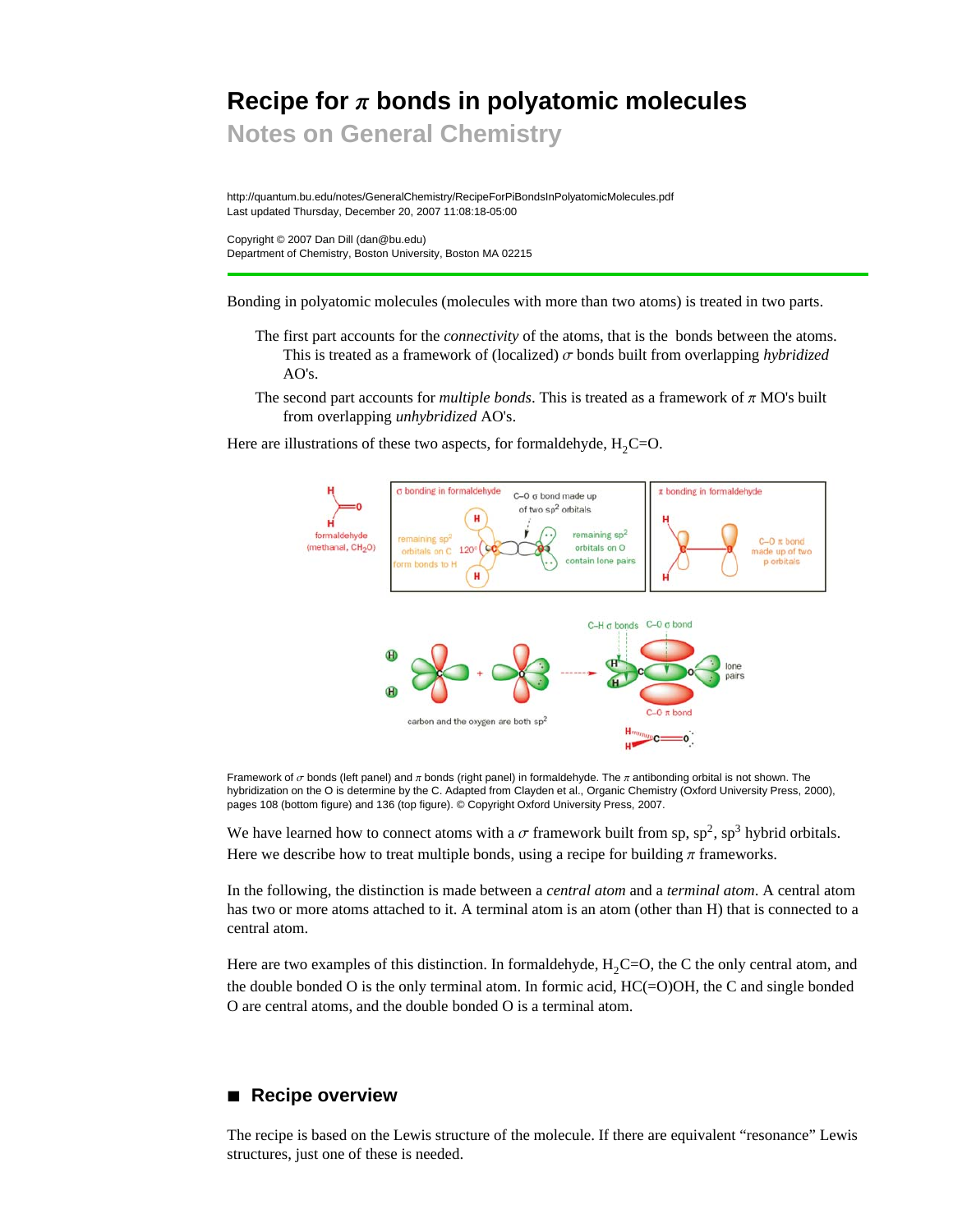# Recipe for  $\pi$  bonds in polyatomic molecules

**Notes on General Chemistry**

http://quantum.bu.edu/notes/GeneralChemistry/RecipeForPiBondsInPolyatomicMolecules.pdf Last updated Thursday, December 20, 2007 11:08:18-05:00

Copyright © 2007 Dan Dill (dan@bu.edu) Department of Chemistry, Boston University, Boston MA 02215

Bonding in polyatomic molecules (molecules with more than two atoms) is treated in two parts.

- The first part accounts for the *connectivity* of the atoms, that is the bonds between the atoms. This is treated as a framework of (localized)  $\sigma$  bonds built from overlapping *hybridized* AO's.
- The second part accounts for *multiple bonds*. This is treated as a framework of  $\pi$  MO's built from overlapping *unhybridized* AO's.

Here are illustrations of these two aspects, for formaldehyde,  $H_2C=O$ .



Framework of  $\sigma$  bonds (left panel) and  $\pi$  bonds (right panel) in formaldehyde. The  $\pi$  antibonding orbital is not shown. The hybridization on the O is determine by the C. Adapted from Clayden et al., Organic Chemistry (Oxford University Press, 2000), pages 108 (bottom figure) and 136 (top figure). © Copyright Oxford University Press, 2007.

We have learned how to connect atoms with a  $\sigma$  framework built from sp, sp<sup>2</sup>, sp<sup>3</sup> hybrid orbitals. Here we describe how to treat multiple bonds, using a recipe for building  $\pi$  frameworks.

In the following, the distinction is made between a *central atom* and a *terminal atom*. A central atom has two or more atoms attached to it. A terminal atom is an atom (other than H) that is connected to a central atom.

Here are two examples of this distinction. In formaldehyde,  $H_2C=O$ , the C the only central atom, and the double bonded O is the only terminal atom. In formic acid,  $HC(=O)OH$ , the C and single bonded O are central atoms, and the double bonded O is a terminal atom.

# **à Recipe overview**

The recipe is based on the Lewis structure of the molecule. If there are equivalent "resonance" Lewis structures, just one of these is needed.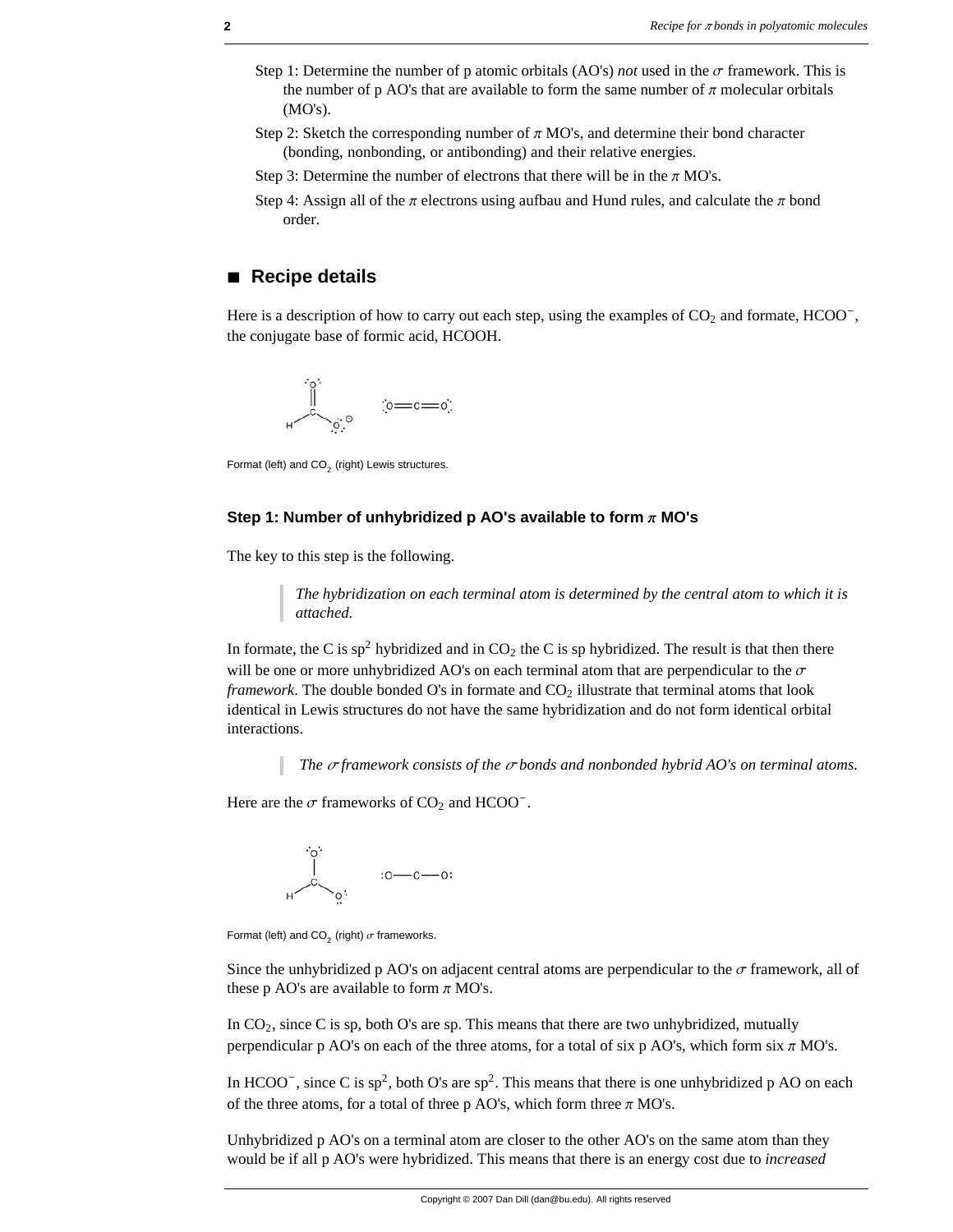- Step 1: Determine the number of p atomic orbitals (AO's) *not* used in the  $\sigma$  framework. This is the number of p AO's that are available to form the same number of  $\pi$  molecular orbitals (MO's).
- Step 2: Sketch the corresponding number of  $\pi$  MO's, and determine their bond character (bonding, nonbonding, or antibonding) and their relative energies.
- Step 3: Determine the number of electrons that there will be in the  $\pi$  MO's.
- Step 4: Assign all of the  $\pi$  electrons using aufbau and Hund rules, and calculate the  $\pi$  bond order.

## **à Recipe details**

Here is a description of how to carry out each step, using the examples of  $CO<sub>2</sub>$  and formate, HCOO<sup>-</sup>, the conjugate base of formic acid, HCOOH.



Format (left) and  $CO<sub>2</sub>$  (right) Lewis structures.

### **Step 1: Number of unhybridized p AO's available to form**  $\pi$  **MO's**

The key to this step is the following.

*The hybridization on each terminal atom is determined by the central atom to which it is attached.* 

In formate, the C is sp<sup>2</sup> hybridized and in  $CO<sub>2</sub>$  the C is sp hybridized. The result is that then there will be one or more unhybridized AO's on each terminal atom that are perpendicular to the  $\sigma$ *framework*. The double bonded  $O$ 's in formate and  $CO<sub>2</sub>$  illustrate that terminal atoms that look identical in Lewis structures do not have the same hybridization and do not form identical orbital interactions.

*The*  $\sigma$  *framework consists of the*  $\sigma$  *bonds and nonbonded hybrid AO's on terminal atoms.* 

Here are the  $\sigma$  frameworks of CO<sub>2</sub> and HCOO<sup>-</sup>.



Format (left) and CO<sub>2</sub> (right)  $\sigma$  frameworks.

Since the unhybridized p AO's on adjacent central atoms are perpendicular to the  $\sigma$  framework, all of these p AO's are available to form  $\pi$  MO's.

In  $CO<sub>2</sub>$ , since C is sp, both O's are sp. This means that there are two unhybridized, mutually perpendicular p AO's on each of the three atoms, for a total of six p AO's, which form six  $\pi$  MO's.

In HCOO<sup>-</sup>, since C is sp<sup>2</sup>, both O's are sp<sup>2</sup>. This means that there is one unhybridized p AO on each of the three atoms, for a total of three p AO's, which form three  $\pi$  MO's.

Unhybridized p AO's on a terminal atom are closer to the other AO's on the same atom than they would be if all p AO's were hybridized. This means that there is an energy cost due to *increased*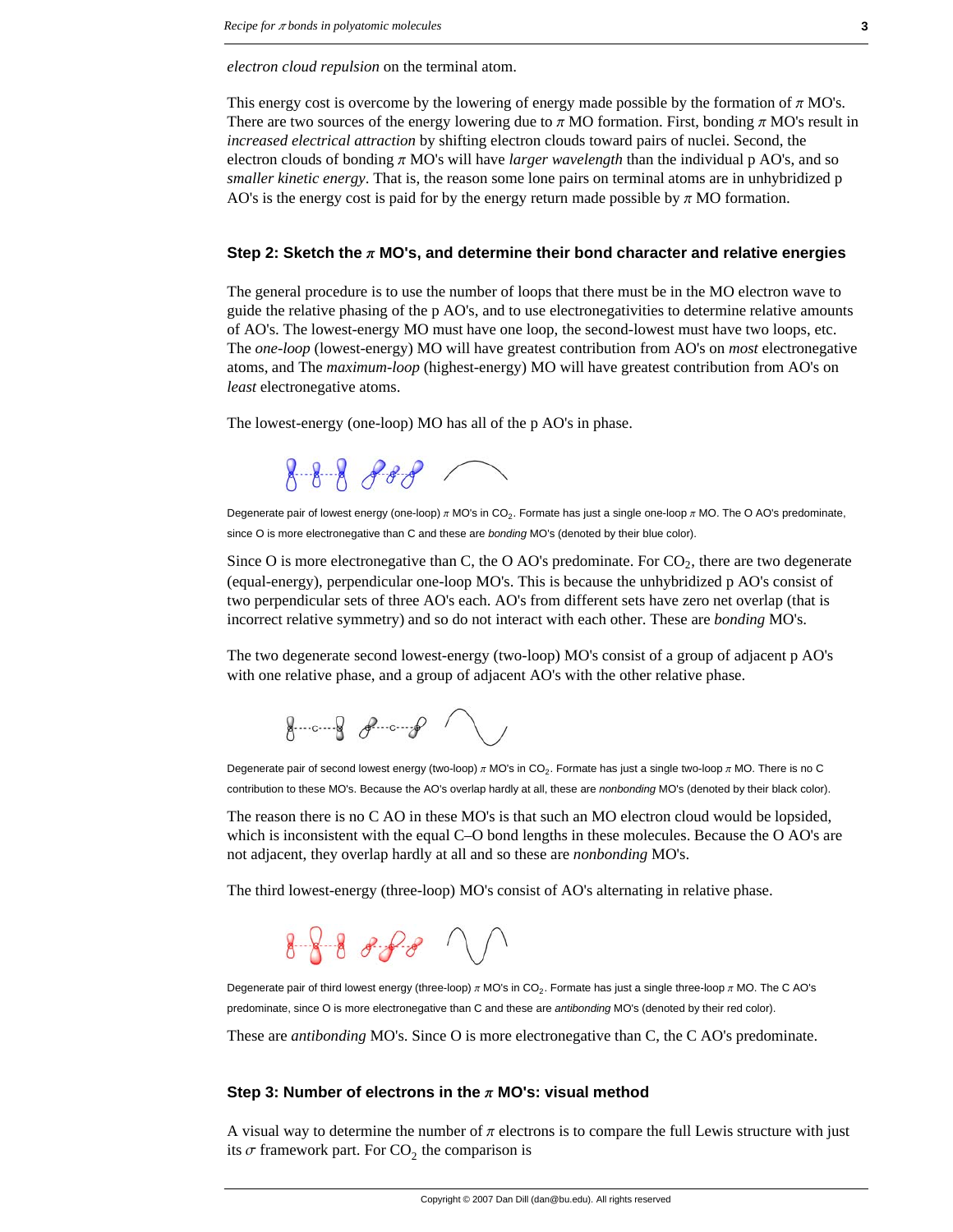*electron cloud repulsion* on the terminal atom.

This energy cost is overcome by the lowering of energy made possible by the formation of  $\pi$  MO's. There are two sources of the energy lowering due to  $\pi$  MO formation. First, bonding  $\pi$  MO's result in *increased electrical attraction* by shifting electron clouds toward pairs of nuclei. Second, the electron clouds of bonding  $\pi$  MO's will have *larger wavelength* than the individual p AO's, and so *smaller kinetic energy*. That is, the reason some lone pairs on terminal atoms are in unhybridized p AO's is the energy cost is paid for by the energy return made possible by  $\pi$  MO formation.

### **Step 2: Sketch the p MO's, and determine their bond character and relative energies**

The general procedure is to use the number of loops that there must be in the MO electron wave to guide the relative phasing of the p AO's, and to use electronegativities to determine relative amounts of AO's. The lowest-energy MO must have one loop, the second-lowest must have two loops, etc. The *one-loop* (lowest-energy) MO will have greatest contribution from AO's on *most* electronegative atoms, and The *maximum-loop* (highest-energy) MO will have greatest contribution from AO's on *least* electronegative atoms.

The lowest-energy (one-loop) MO has all of the p AO's in phase.

 $888880$ 

Degenerate pair of lowest energy (one-loop)  $\pi$  MO's in CO<sub>2</sub>. Formate has just a single one-loop  $\pi$  MO. The O AO's predominate, since O is more electronegative than C and these are *bonding* MO's (denoted by their blue color).

Since O is more electronegative than C, the O AO's predominate. For  $CO<sub>2</sub>$ , there are two degenerate (equal-energy), perpendicular one-loop MO's. This is because the unhybridized p AO's consist of two perpendicular sets of three AO's each. AO's from different sets have zero net overlap (that is incorrect relative symmetry) and so do not interact with each other. These are *bonding* MO's.

The two degenerate second lowest-energy (two-loop) MO's consist of a group of adjacent p AO's with one relative phase, and a group of adjacent AO's with the other relative phase.

 $8 - - 8$   $8 - - 8$ 

Degenerate pair of second lowest energy (two-loop)  $\pi$  MO's in CO<sub>2</sub>. Formate has just a single two-loop  $\pi$  MO. There is no C contribution to these MO's. Because the AO's overlap hardly at all, these are *nonbonding* MO's (denoted by their black color).

The reason there is no C AO in these MO's is that such an MO electron cloud would be lopsided, which is inconsistent with the equal C–O bond lengths in these molecules. Because the O AO's are not adjacent, they overlap hardly at all and so these are *nonbonding* MO's.

The third lowest-energy (three-loop) MO's consist of AO's alternating in relative phase.

# $888888$

Degenerate pair of third lowest energy (three-loop)  $\pi$  MO's in CO<sub>2</sub>. Formate has just a single three-loop  $\pi$  MO. The C AO's predominate, since O is more electronegative than C and these are *antibonding* MO's (denoted by their red color).

These are *antibonding* MO's. Since O is more electronegative than C, the C AO's predominate.

### **Step 3: Number of electrons in the**  $\pi$  **MO's: visual method**

A visual way to determine the number of  $\pi$  electrons is to compare the full Lewis structure with just its  $\sigma$  framework part. For CO<sub>2</sub> the comparison is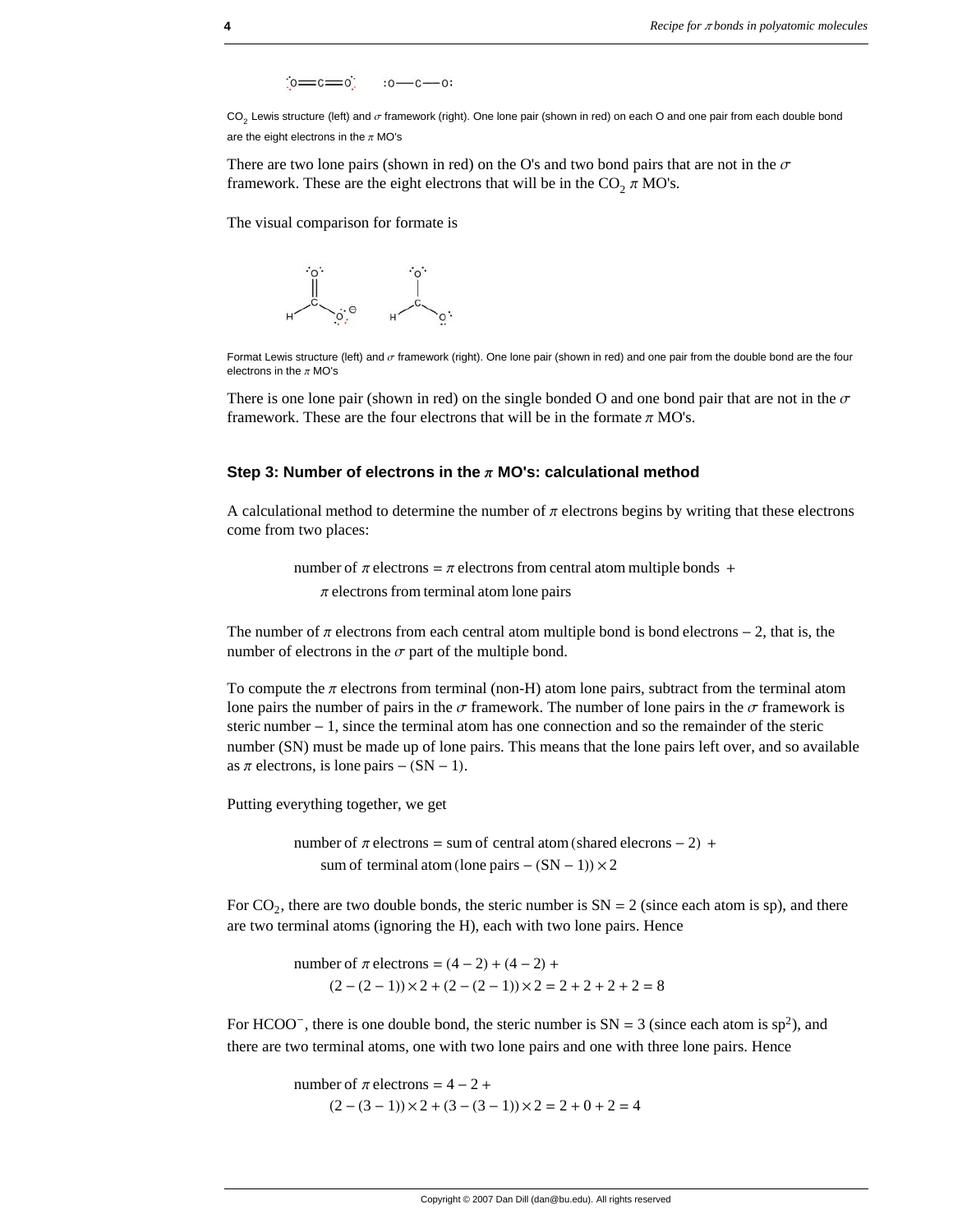$\frac{1}{10} = \frac{1}{10} = \frac{1}{10} = \frac{1}{10} = \frac{1}{10} = \frac{1}{10} = \frac{1}{10} = \frac{1}{10} = \frac{1}{10} = \frac{1}{10} = \frac{1}{10} = \frac{1}{10} = \frac{1}{10} = \frac{1}{10} = \frac{1}{10} = \frac{1}{10} = \frac{1}{10} = \frac{1}{10} = \frac{1}{10} = \frac{1}{10} = \frac{1}{10} = \frac{1}{10} = \frac{1}{10} = \frac{1}{10} = \frac{1$ 

CO<sub>2</sub> Lewis structure (left) and  $\sigma$  framework (right). One lone pair (shown in red) on each O and one pair from each double bond are the eight electrons in the  $\pi$  MO's

There are two lone pairs (shown in red) on the O's and two bond pairs that are not in the  $\sigma$ framework. These are the eight electrons that will be in the  $CO<sub>2</sub> \pi MO's$ .

The visual comparison for formate is



Format Lewis structure (left) and  $\sigma$  framework (right). One lone pair (shown in red) and one pair from the double bond are the four electrons in the  $\pi$  MO's

There is one lone pair (shown in red) on the single bonded O and one bond pair that are not in the  $\sigma$ framework. These are the four electrons that will be in the formate  $\pi$  MO's.

### **Step 3: Number of electrons in the**  $\pi$  **MO's: calculational method**

A calculational method to determine the number of  $\pi$  electrons begins by writing that these electrons come from two places:

> number of  $\pi$  electrons =  $\pi$  electrons from central atom multiple bonds +  $\pi$  electrons from terminal atom lone pairs

The number of  $\pi$  electrons from each central atom multiple bond is bond electrons  $-2$ , that is, the number of electrons in the  $\sigma$  part of the multiple bond.

To compute the  $\pi$  electrons from terminal (non-H) atom lone pairs, subtract from the terminal atom lone pairs the number of pairs in the  $\sigma$  framework. The number of lone pairs in the  $\sigma$  framework is steric number  $-1$ , since the terminal atom has one connection and so the remainder of the steric number (SN) must be made up of lone pairs. This means that the lone pairs left over, and so available as  $\pi$  electrons, is lone pairs – (SN – 1).

Putting everything together, we get

number of  $\pi$  electrons = sum of central atom (shared elecrons - 2) + sum of terminal atom (lone pairs  $- (SN - 1) \times 2$ 

For  $CO<sub>2</sub>$ , there are two double bonds, the steric number is  $SN = 2$  (since each atom is sp), and there are two terminal atoms (ignoring the H), each with two lone pairs. Hence

> number of  $\pi$  electrons =  $(4 – 2) + (4 – 2) +$  $(2 - (2 - 1)) \times 2 + (2 - (2 - 1)) \times 2 = 2 + 2 + 2 + 2 = 8$

For HCOO<sup>-</sup>, there is one double bond, the steric number is  $SN = 3$  (since each atom is  $sp^2$ ), and there are two terminal atoms, one with two lone pairs and one with three lone pairs. Hence

> number of  $\pi$  electrons = 4 - 2 +  $(2 - (3 - 1)) \times 2 + (3 - (3 - 1)) \times 2 = 2 + 0 + 2 = 4$